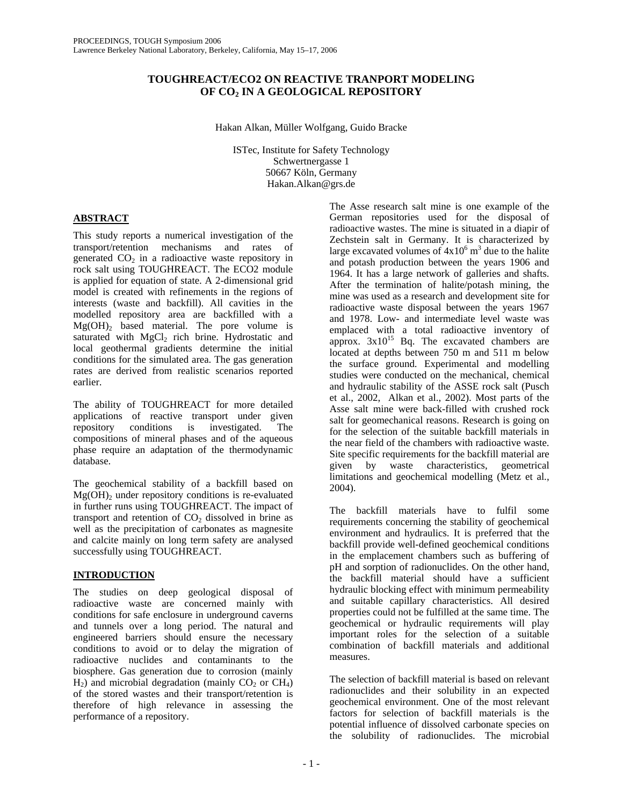# **TOUGHREACT/ECO2 ON REACTIVE TRANPORT MODELING OF CO2 IN A GEOLOGICAL REPOSITORY**

Hakan Alkan, Müller Wolfgang, Guido Bracke

ISTec, Institute for Safety Technology Schwertnergasse 1 50667 Köln, Germany Hakan.Alkan@grs.de

# **ABSTRACT**

This study reports a numerical investigation of the transport/retention mechanisms and rates of generated  $CO<sub>2</sub>$  in a radioactive waste repository in rock salt using TOUGHREACT. The ECO2 module is applied for equation of state. A 2-dimensional grid model is created with refinements in the regions of interests (waste and backfill). All cavities in the modelled repository area are backfilled with a  $Mg(OH)$ <sub>2</sub> based material. The pore volume is saturated with  $MgCl<sub>2</sub>$  rich brine. Hydrostatic and local geothermal gradients determine the initial conditions for the simulated area. The gas generation rates are derived from realistic scenarios reported earlier.

The ability of TOUGHREACT for more detailed applications of reactive transport under given repository conditions is investigated. The compositions of mineral phases and of the aqueous phase require an adaptation of the thermodynamic database.

The geochemical stability of a backfill based on  $Mg(OH)$ <sub>2</sub> under repository conditions is re-evaluated in further runs using TOUGHREACT. The impact of transport and retention of  $CO<sub>2</sub>$  dissolved in brine as well as the precipitation of carbonates as magnesite and calcite mainly on long term safety are analysed successfully using TOUGHREACT.

# **INTRODUCTION**

The studies on deep geological disposal of radioactive waste are concerned mainly with conditions for safe enclosure in underground caverns and tunnels over a long period. The natural and engineered barriers should ensure the necessary conditions to avoid or to delay the migration of radioactive nuclides and contaminants to the biosphere. Gas generation due to corrosion (mainly  $H_2$ ) and microbial degradation (mainly CO<sub>2</sub> or CH<sub>4</sub>) of the stored wastes and their transport/retention is therefore of high relevance in assessing the performance of a repository.

The Asse research salt mine is one example of the German repositories used for the disposal of radioactive wastes. The mine is situated in a diapir of Zechstein salt in Germany. It is characterized by large excavated volumes of  $4x10^6$  m<sup>3</sup> due to the halite and potash production between the years 1906 and 1964. It has a large network of galleries and shafts. After the termination of halite/potash mining, the mine was used as a research and development site for radioactive waste disposal between the years 1967 and 1978. Low- and intermediate level waste was emplaced with a total radioactive inventory of approx.  $3x10^{15}$  Bq. The excavated chambers are located at depths between 750 m and 511 m below the surface ground. Experimental and modelling studies were conducted on the mechanical, chemical and hydraulic stability of the ASSE rock salt (Pusch et al., 2002, Alkan et al., 2002). Most parts of the Asse salt mine were back-filled with crushed rock salt for geomechanical reasons. Research is going on for the selection of the suitable backfill materials in the near field of the chambers with radioactive waste. Site specific requirements for the backfill material are given by waste characteristics, geometrical limitations and geochemical modelling (Metz et al., 2004).

The backfill materials have to fulfil some requirements concerning the stability of geochemical environment and hydraulics. It is preferred that the backfill provide well-defined geochemical conditions in the emplacement chambers such as buffering of pH and sorption of radionuclides. On the other hand, the backfill material should have a sufficient hydraulic blocking effect with minimum permeability and suitable capillary characteristics. All desired properties could not be fulfilled at the same time. The geochemical or hydraulic requirements will play important roles for the selection of a suitable combination of backfill materials and additional measures.

The selection of backfill material is based on relevant radionuclides and their solubility in an expected geochemical environment. One of the most relevant factors for selection of backfill materials is the potential influence of dissolved carbonate species on the solubility of radionuclides. The microbial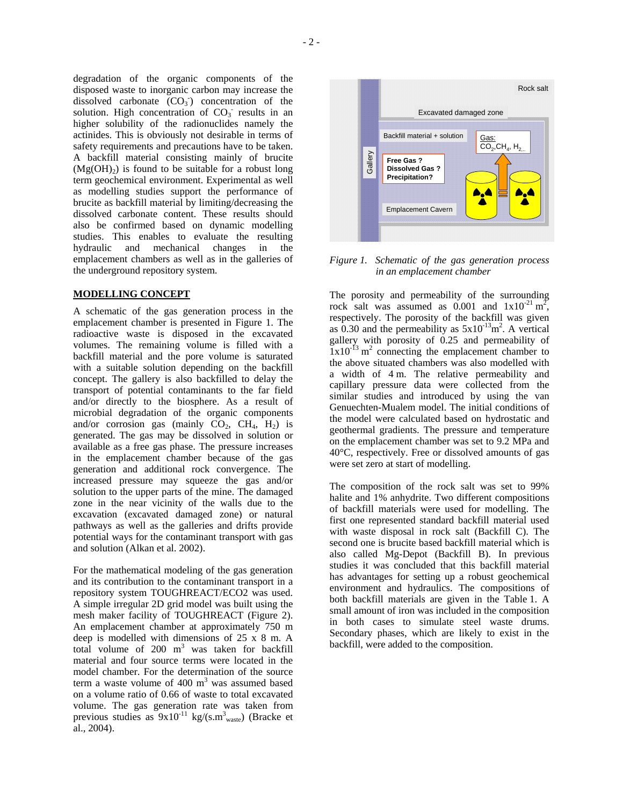degradation of the organic components of the disposed waste to inorganic carbon may increase the dissolved carbonate  $(CO_3)$  concentration of the solution. High concentration of  $CO_3^-$  results in an higher solubility of the radionuclides namely the actinides. This is obviously not desirable in terms of safety requirements and precautions have to be taken. A backfill material consisting mainly of brucite  $(Mg(OH<sub>2</sub>)$  is found to be suitable for a robust long term geochemical environment. Experimental as well as modelling studies support the performance of brucite as backfill material by limiting/decreasing the dissolved carbonate content. These results should also be confirmed based on dynamic modelling studies. This enables to evaluate the resulting hydraulic and mechanical changes in the emplacement chambers as well as in the galleries of the underground repository system.

### **MODELLING CONCEPT**

A schematic of the gas generation process in the emplacement chamber is presented in Figure 1. The radioactive waste is disposed in the excavated volumes. The remaining volume is filled with a backfill material and the pore volume is saturated with a suitable solution depending on the backfill concept. The gallery is also backfilled to delay the transport of potential contaminants to the far field and/or directly to the biosphere. As a result of microbial degradation of the organic components and/or corrosion gas (mainly  $CO<sub>2</sub>$ ,  $CH<sub>4</sub>$ ,  $H<sub>2</sub>$ ) is generated. The gas may be dissolved in solution or available as a free gas phase. The pressure increases in the emplacement chamber because of the gas generation and additional rock convergence. The increased pressure may squeeze the gas and/or solution to the upper parts of the mine. The damaged zone in the near vicinity of the walls due to the excavation (excavated damaged zone) or natural pathways as well as the galleries and drifts provide potential ways for the contaminant transport with gas and solution (Alkan et al. 2002).

For the mathematical modeling of the gas generation and its contribution to the contaminant transport in a repository system TOUGHREACT/ECO2 was used. A simple irregular 2D grid model was built using the mesh maker facility of TOUGHREACT (Figure 2). An emplacement chamber at approximately 750 m deep is modelled with dimensions of 25 x 8 m. A total volume of  $200 \text{ m}^3$  was taken for backfill material and four source terms were located in the model chamber. For the determination of the source term a waste volume of 400  $m<sup>3</sup>$  was assumed based on a volume ratio of 0.66 of waste to total excavated volume. The gas generation rate was taken from previous studies as  $9x10^{-11}$  kg/(s.m<sup>3</sup><sub>waste</sub>) (Bracke et al., 2004).



*Figure 1. Schematic of the gas generation process in an emplacement chamber* 

A.A

Emplacement Cavern

The porosity and permeability of the surrounding rock salt was assumed as  $0.001$  and  $1 \times 10^{-21}$  m<sup>2</sup>, respectively. The porosity of the backfill was given as 0.30 and the permeability as  $5x10^{-13}$ m<sup>2</sup>. A vertical gallery with porosity of 0.25 and permeability of  $1x10^{-13}$  m<sup>2</sup> connecting the emplacement chamber to the above situated chambers was also modelled with a width of 4 m. The relative permeability and capillary pressure data were collected from the similar studies and introduced by using the van Genuechten-Mualem model. The initial conditions of the model were calculated based on hydrostatic and geothermal gradients. The pressure and temperature on the emplacement chamber was set to 9.2 MPa and 40°C, respectively. Free or dissolved amounts of gas were set zero at start of modelling.

The composition of the rock salt was set to 99% halite and 1% anhydrite. Two different compositions of backfill materials were used for modelling. The first one represented standard backfill material used with waste disposal in rock salt (Backfill C). The second one is brucite based backfill material which is also called Mg-Depot (Backfill B). In previous studies it was concluded that this backfill material has advantages for setting up a robust geochemical environment and hydraulics. The compositions of both backfill materials are given in the Table 1. A small amount of iron was included in the composition in both cases to simulate steel waste drums. Secondary phases, which are likely to exist in the backfill, were added to the composition.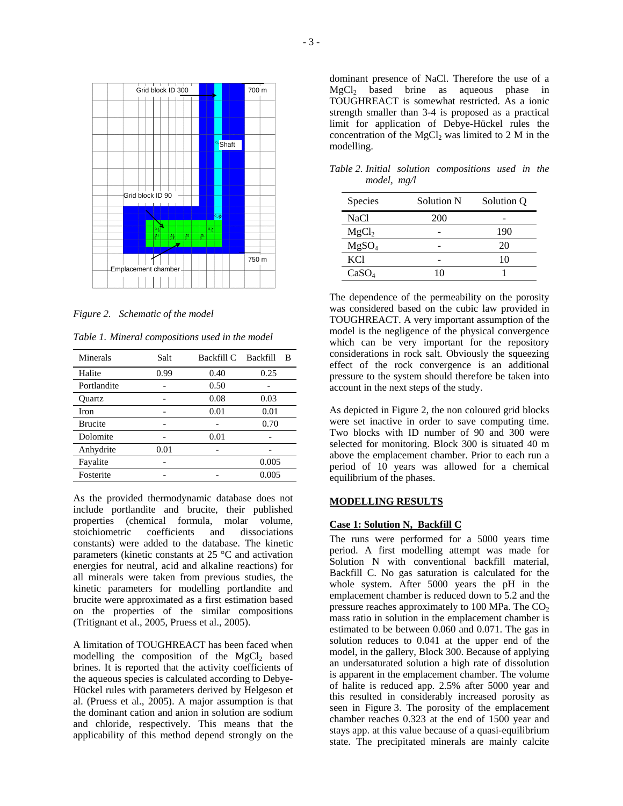

*Figure 2. Schematic of the model* 

*Table 1. Mineral compositions used in the model* 

| Minerals       | Salt | Backfill C | Backfill<br>- B |
|----------------|------|------------|-----------------|
| Halite         | 0.99 | 0.40       | 0.25            |
| Portlandite    |      | 0.50       |                 |
| Ouartz         |      | 0.08       | 0.03            |
| Iron           |      | 0.01       | 0.01            |
| <b>Brucite</b> |      |            | 0.70            |
| Dolomite       |      | 0.01       |                 |
| Anhydrite      | 0.01 |            |                 |
| Fayalite       |      |            | 0.005           |
| Fosterite      |      |            | 0.005           |

As the provided thermodynamic database does not include portlandite and brucite, their published properties (chemical formula, molar volume,<br>stoichiometric coefficients and dissociations stoichiometric coefficients and constants) were added to the database. The kinetic parameters (kinetic constants at 25 °C and activation energies for neutral, acid and alkaline reactions) for all minerals were taken from previous studies, the kinetic parameters for modelling portlandite and brucite were approximated as a first estimation based on the properties of the similar compositions (Tritignant et al., 2005, Pruess et al., 2005).

A limitation of TOUGHREACT has been faced when modelling the composition of the MgCl<sub>2</sub> based brines. It is reported that the activity coefficients of the aqueous species is calculated according to Debye-Hückel rules with parameters derived by Helgeson et al. (Pruess et al., 2005). A major assumption is that the dominant cation and anion in solution are sodium and chloride, respectively. This means that the applicability of this method depend strongly on the

dominant presence of NaCl. Therefore the use of a MgCl2 based brine as aqueous phase in TOUGHREACT is somewhat restricted. As a ionic strength smaller than 3-4 is proposed as a practical limit for application of Debye-Hückel rules the concentration of the  $MgCl<sub>2</sub>$  was limited to 2 M in the modelling.

*Table 2. Initial solution compositions used in the model, mg/l* 

| Species           | <b>Solution N</b> | Solution Q |
|-------------------|-------------------|------------|
| <b>NaCl</b>       | 200               |            |
| MgCl <sub>2</sub> |                   | 190        |
| MgSO <sub>4</sub> |                   | 20         |
| <b>KCl</b>        |                   | 10         |
| CaSO <sub>4</sub> | 10                |            |

The dependence of the permeability on the porosity was considered based on the cubic law provided in TOUGHREACT. A very important assumption of the model is the negligence of the physical convergence which can be very important for the repository considerations in rock salt. Obviously the squeezing effect of the rock convergence is an additional pressure to the system should therefore be taken into account in the next steps of the study.

As depicted in Figure 2, the non coloured grid blocks were set inactive in order to save computing time. Two blocks with ID number of 90 and 300 were selected for monitoring. Block 300 is situated 40 m above the emplacement chamber. Prior to each run a period of 10 years was allowed for a chemical equilibrium of the phases.

# **MODELLING RESULTS**

### **Case 1: Solution N, Backfill C**

The runs were performed for a 5000 years time period. A first modelling attempt was made for Solution N with conventional backfill material, Backfill C. No gas saturation is calculated for the whole system. After 5000 years the pH in the emplacement chamber is reduced down to 5.2 and the pressure reaches approximately to 100 MPa. The  $CO<sub>2</sub>$ mass ratio in solution in the emplacement chamber is estimated to be between 0.060 and 0.071. The gas in solution reduces to 0.041 at the upper end of the model, in the gallery, Block 300. Because of applying an undersaturated solution a high rate of dissolution is apparent in the emplacement chamber. The volume of halite is reduced app. 2.5% after 5000 year and this resulted in considerably increased porosity as seen in Figure 3. The porosity of the emplacement chamber reaches 0.323 at the end of 1500 year and stays app. at this value because of a quasi-equilibrium state. The precipitated minerals are mainly calcite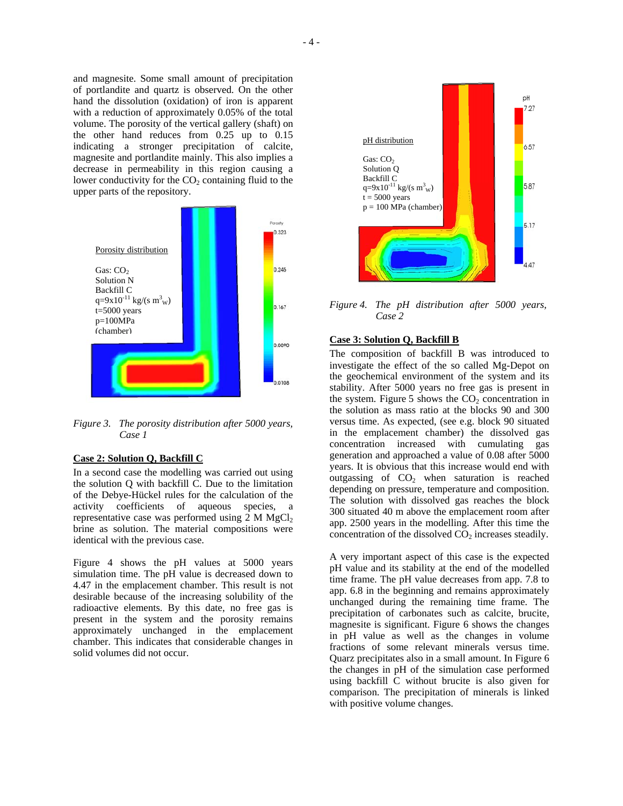and magnesite. Some small amount of precipitation of portlandite and quartz is observed. On the other hand the dissolution (oxidation) of iron is apparent with a reduction of approximately 0.05% of the total volume. The porosity of the vertical gallery (shaft) on the other hand reduces from 0.25 up to 0.15 indicating a stronger precipitation of calcite, magnesite and portlandite mainly. This also implies a decrease in permeability in this region causing a lower conductivity for the  $CO<sub>2</sub>$  containing fluid to the upper parts of the repository.



*Figure 3. The porosity distribution after 5000 years, Case 1* 

# **Case 2: Solution Q, Backfill C**

In a second case the modelling was carried out using the solution Q with backfill C. Due to the limitation of the Debye-Hückel rules for the calculation of the activity coefficients of aqueous species, a representative case was performed using  $2 M MgCl<sub>2</sub>$ brine as solution. The material compositions were identical with the previous case.

Figure 4 shows the pH values at 5000 years simulation time. The pH value is decreased down to 4.47 in the emplacement chamber. This result is not desirable because of the increasing solubility of the radioactive elements. By this date, no free gas is present in the system and the porosity remains approximately unchanged in the emplacement chamber. This indicates that considerable changes in solid volumes did not occur.



*Figure 4. The pH distribution after 5000 years, Case 2* 

#### **Case 3: Solution Q, Backfill B**

The composition of backfill B was introduced to investigate the effect of the so called Mg-Depot on the geochemical environment of the system and its stability. After 5000 years no free gas is present in the system. Figure 5 shows the  $CO<sub>2</sub>$  concentration in the solution as mass ratio at the blocks 90 and 300 versus time. As expected, (see e.g. block 90 situated in the emplacement chamber) the dissolved gas concentration increased with cumulating gas generation and approached a value of 0.08 after 5000 years. It is obvious that this increase would end with outgassing of  $CO<sub>2</sub>$  when saturation is reached depending on pressure, temperature and composition. The solution with dissolved gas reaches the block 300 situated 40 m above the emplacement room after app. 2500 years in the modelling. After this time the concentration of the dissolved  $CO<sub>2</sub>$  increases steadily.

A very important aspect of this case is the expected pH value and its stability at the end of the modelled time frame. The pH value decreases from app. 7.8 to app. 6.8 in the beginning and remains approximately unchanged during the remaining time frame. The precipitation of carbonates such as calcite, brucite, magnesite is significant. Figure 6 shows the changes in pH value as well as the changes in volume fractions of some relevant minerals versus time. Quarz precipitates also in a small amount. In Figure 6 the changes in pH of the simulation case performed using backfill C without brucite is also given for comparison. The precipitation of minerals is linked with positive volume changes.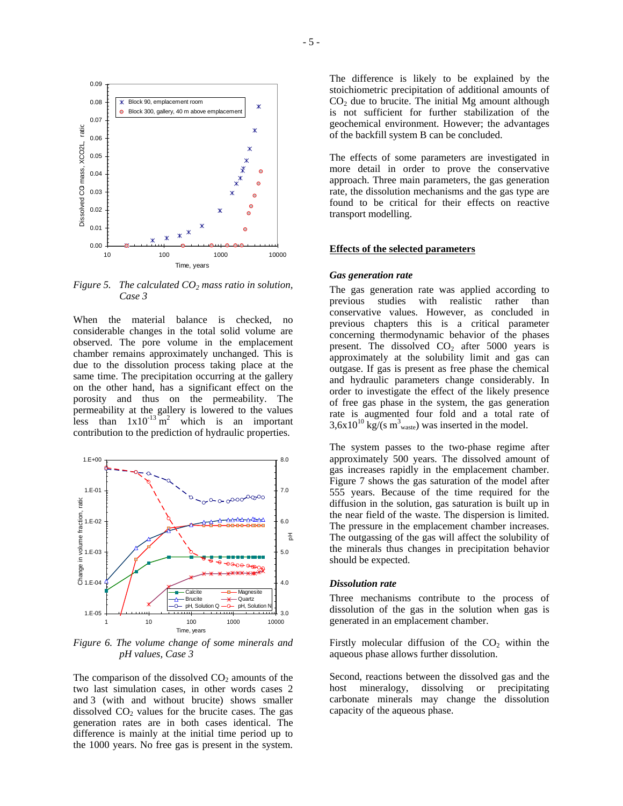



*Figure 5. The calculated CO<sub>2</sub> mass ratio in solution, Case 3* 

When the material balance is checked, no considerable changes in the total solid volume are observed. The pore volume in the emplacement chamber remains approximately unchanged. This is due to the dissolution process taking place at the same time. The precipitation occurring at the gallery on the other hand, has a significant effect on the porosity and thus on the permeability. The permeability at the gallery is lowered to the values less than  $1x10^{-13}$  m<sup>2</sup> which is an important contribution to the prediction of hydraulic properties.



*Figure 6. The volume change of some minerals and pH values, Case 3* 

The comparison of the dissolved  $CO<sub>2</sub>$  amounts of the two last simulation cases, in other words cases 2 and 3 (with and without brucite) shows smaller dissolved  $CO<sub>2</sub>$  values for the brucite cases. The gas generation rates are in both cases identical. The difference is mainly at the initial time period up to the 1000 years. No free gas is present in the system.

The difference is likely to be explained by the stoichiometric precipitation of additional amounts of  $CO<sub>2</sub>$  due to brucite. The initial Mg amount although is not sufficient for further stabilization of the geochemical environment. However; the advantages of the backfill system B can be concluded.

The effects of some parameters are investigated in more detail in order to prove the conservative approach. Three main parameters, the gas generation rate, the dissolution mechanisms and the gas type are found to be critical for their effects on reactive transport modelling.

#### **Effects of the selected parameters**

#### *Gas generation rate*

The gas generation rate was applied according to previous studies with realistic rather than conservative values. However, as concluded in previous chapters this is a critical parameter concerning thermodynamic behavior of the phases present. The dissolved  $CO<sub>2</sub>$  after 5000 years is approximately at the solubility limit and gas can outgase. If gas is present as free phase the chemical and hydraulic parameters change considerably. In order to investigate the effect of the likely presence of free gas phase in the system, the gas generation rate is augmented four fold and a total rate of  $3,6x10^{10}$  kg/(s m<sup>3</sup><sub>waste</sub>) was inserted in the model.

The system passes to the two-phase regime after approximately 500 years. The dissolved amount of gas increases rapidly in the emplacement chamber. Figure 7 shows the gas saturation of the model after 555 years. Because of the time required for the diffusion in the solution, gas saturation is built up in the near field of the waste. The dispersion is limited. The pressure in the emplacement chamber increases. The outgassing of the gas will affect the solubility of the minerals thus changes in precipitation behavior should be expected.

### *Dissolution rate*

Three mechanisms contribute to the process of dissolution of the gas in the solution when gas is generated in an emplacement chamber.

Firstly molecular diffusion of the  $CO<sub>2</sub>$  within the aqueous phase allows further dissolution.

Second, reactions between the dissolved gas and the host mineralogy, dissolving or precipitating carbonate minerals may change the dissolution capacity of the aqueous phase.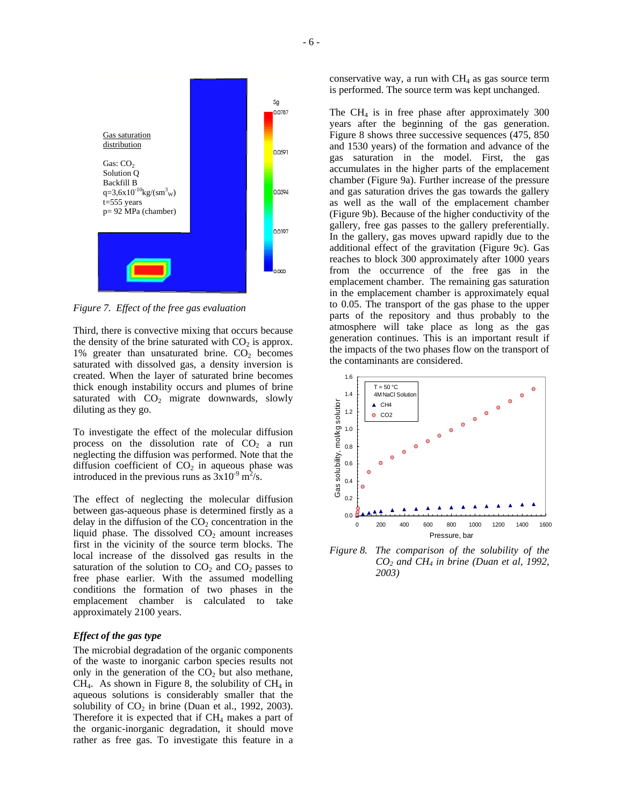

*Figure 7. Effect of the free gas evaluation* 

Third, there is convective mixing that occurs because the density of the brine saturated with  $CO<sub>2</sub>$  is approx. 1% greater than unsaturated brine.  $CO<sub>2</sub>$  becomes saturated with dissolved gas, a density inversion is created. When the layer of saturated brine becomes thick enough instability occurs and plumes of brine saturated with  $CO<sub>2</sub>$  migrate downwards, slowly diluting as they go.

To investigate the effect of the molecular diffusion process on the dissolution rate of  $CO<sub>2</sub>$  a run neglecting the diffusion was performed. Note that the diffusion coefficient of  $CO<sub>2</sub>$  in aqueous phase was introduced in the previous runs as  $3x10^{-9}$  m<sup>2</sup>/s.

The effect of neglecting the molecular diffusion between gas-aqueous phase is determined firstly as a delay in the diffusion of the  $CO<sub>2</sub>$  concentration in the liquid phase. The dissolved  $CO<sub>2</sub>$  amount increases first in the vicinity of the source term blocks. The local increase of the dissolved gas results in the saturation of the solution to  $CO<sub>2</sub>$  and  $CO<sub>2</sub>$  passes to free phase earlier. With the assumed modelling conditions the formation of two phases in the emplacement chamber is calculated to take approximately 2100 years.

### *Effect of the gas type*

The microbial degradation of the organic components of the waste to inorganic carbon species results not only in the generation of the  $CO<sub>2</sub>$  but also methane,  $CH<sub>4</sub>$ . As shown in Figure 8, the solubility of  $CH<sub>4</sub>$  in aqueous solutions is considerably smaller that the solubility of  $CO<sub>2</sub>$  in brine (Duan et al., 1992, 2003). Therefore it is expected that if  $CH<sub>4</sub>$  makes a part of the organic-inorganic degradation, it should move rather as free gas. To investigate this feature in a conservative way, a run with  $CH<sub>4</sub>$  as gas source term is performed. The source term was kept unchanged.

The  $CH<sub>4</sub>$  is in free phase after approximately 300 years after the beginning of the gas generation. Figure 8 shows three successive sequences (475, 850 and 1530 years) of the formation and advance of the gas saturation in the model. First, the gas accumulates in the higher parts of the emplacement chamber (Figure 9a). Further increase of the pressure and gas saturation drives the gas towards the gallery as well as the wall of the emplacement chamber (Figure 9b). Because of the higher conductivity of the gallery, free gas passes to the gallery preferentially. In the gallery, gas moves upward rapidly due to the additional effect of the gravitation (Figure 9c). Gas reaches to block 300 approximately after 1000 years from the occurrence of the free gas in the emplacement chamber. The remaining gas saturation in the emplacement chamber is approximately equal to 0.05. The transport of the gas phase to the upper parts of the repository and thus probably to the atmosphere will take place as long as the gas generation continues. This is an important result if the impacts of the two phases flow on the transport of the contaminants are considered.



*Figure 8. The comparison of the solubility of the CO2 and CH4 in brine (Duan et al, 1992, 2003)*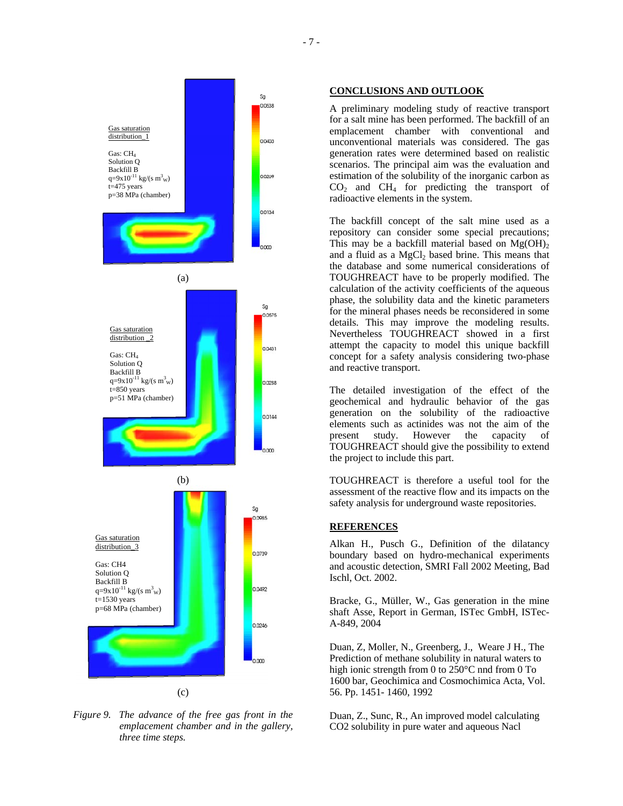

*Figure 9. The advance of the free gas front in the emplacement chamber and in the gallery, three time steps.* 

#### **CONCLUSIONS AND OUTLOOK**

A preliminary modeling study of reactive transport for a salt mine has been performed. The backfill of an emplacement chamber with conventional and unconventional materials was considered. The gas generation rates were determined based on realistic scenarios. The principal aim was the evaluation and estimation of the solubility of the inorganic carbon as  $CO<sub>2</sub>$  and  $CH<sub>4</sub>$  for predicting the transport of radioactive elements in the system.

The backfill concept of the salt mine used as a repository can consider some special precautions; This may be a backfill material based on  $Mg(OH)_{2}$ and a fluid as a  $MgCl<sub>2</sub>$  based brine. This means that the database and some numerical considerations of TOUGHREACT have to be properly modified. The calculation of the activity coefficients of the aqueous phase, the solubility data and the kinetic parameters for the mineral phases needs be reconsidered in some details. This may improve the modeling results. Nevertheless TOUGHREACT showed in a first attempt the capacity to model this unique backfill concept for a safety analysis considering two-phase and reactive transport.

The detailed investigation of the effect of the geochemical and hydraulic behavior of the gas generation on the solubility of the radioactive elements such as actinides was not the aim of the present study. However the capacity of TOUGHREACT should give the possibility to extend the project to include this part.

TOUGHREACT is therefore a useful tool for the assessment of the reactive flow and its impacts on the safety analysis for underground waste repositories.

### **REFERENCES**

Alkan H., Pusch G., Definition of the dilatancy boundary based on hydro-mechanical experiments and acoustic detection, SMRI Fall 2002 Meeting, Bad Ischl, Oct. 2002.

Bracke, G., Müller, W., Gas generation in the mine shaft Asse, Report in German, ISTec GmbH, ISTec-A-849, 2004

Duan, Z, Moller, N., Greenberg, J., Weare J H., The Prediction of methane solubility in natural waters to high ionic strength from 0 to 250°C nnd from 0 To 1600 bar, Geochimica and Cosmochimica Acta, Vol. 56. Pp. 1451- 1460, 1992

Duan, Z., Sunc, R., An improved model calculating CO2 solubility in pure water and aqueous Nacl